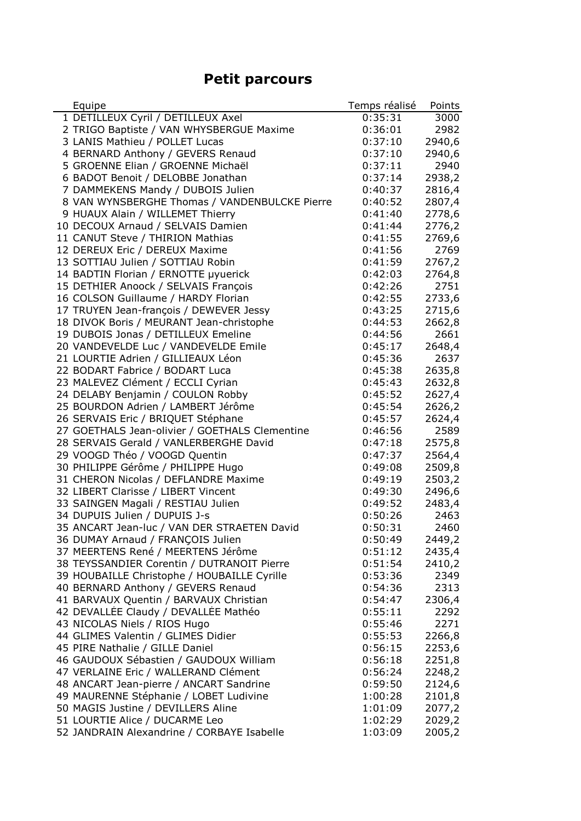## **Petit parcours**

| Equipe                                         | Temps réalisé | Points |
|------------------------------------------------|---------------|--------|
| 1 DETILLEUX Cyril / DETILLEUX Axel             | 0:35:31       | 3000   |
| 2 TRIGO Baptiste / VAN WHYSBERGUE Maxime       | 0:36:01       | 2982   |
| 3 LANIS Mathieu / POLLET Lucas                 | 0:37:10       | 2940,6 |
| 4 BERNARD Anthony / GEVERS Renaud              | 0:37:10       | 2940,6 |
| 5 GROENNE Elian / GROENNE Michaël              | 0:37:11       | 2940   |
| 6 BADOT Benoit / DELOBBE Jonathan              | 0:37:14       | 2938,2 |
| 7 DAMMEKENS Mandy / DUBOIS Julien              | 0:40:37       | 2816,4 |
| 8 VAN WYNSBERGHE Thomas / VANDENBULCKE Pierre  | 0:40:52       | 2807,4 |
| 9 HUAUX Alain / WILLEMET Thierry               | 0:41:40       | 2778,6 |
| 10 DECOUX Arnaud / SELVAIS Damien              | 0:41:44       | 2776,2 |
| 11 CANUT Steve / THIRION Mathias               | 0:41:55       | 2769,6 |
| 12 DEREUX Eric / DEREUX Maxime                 | 0:41:56       | 2769   |
| 13 SOTTIAU Julien / SOTTIAU Robin              | 0:41:59       | 2767,2 |
| 14 BADTIN Florian / ERNOTTE µyuerick           | 0:42:03       | 2764,8 |
| 15 DETHIER Anoock / SELVAIS François           | 0:42:26       | 2751   |
| 16 COLSON Guillaume / HARDY Florian            | 0:42:55       | 2733,6 |
| 17 TRUYEN Jean-françois / DEWEVER Jessy        | 0:43:25       | 2715,6 |
| 18 DIVOK Boris / MEURANT Jean-christophe       | 0:44:53       | 2662,8 |
| 19 DUBOIS Jonas / DETILLEUX Emeline            | 0:44:56       | 2661   |
| 20 VANDEVELDE Luc / VANDEVELDE Emile           | 0:45:17       | 2648,4 |
| 21 LOURTIE Adrien / GILLIEAUX Léon             | 0:45:36       | 2637   |
| 22 BODART Fabrice / BODART Luca                | 0:45:38       | 2635,8 |
| 23 MALEVEZ Clément / ECCLI Cyrian              | 0:45:43       | 2632,8 |
| 24 DELABY Benjamin / COULON Robby              | 0:45:52       | 2627,4 |
| 25 BOURDON Adrien / LAMBERT Jérôme             | 0:45:54       | 2626,2 |
| 26 SERVAIS Eric / BRIQUET Stéphane             | 0:45:57       | 2624,4 |
| 27 GOETHALS Jean-olivier / GOETHALS Clementine | 0:46:56       | 2589   |
| 28 SERVAIS Gerald / VANLERBERGHE David         | 0:47:18       | 2575,8 |
| 29 VOOGD Théo / VOOGD Quentin                  | 0:47:37       | 2564,4 |
| 30 PHILIPPE Gérôme / PHILIPPE Hugo             | 0:49:08       | 2509,8 |
| 31 CHERON Nicolas / DEFLANDRE Maxime           | 0:49:19       | 2503,2 |
| 32 LIBERT Clarisse / LIBERT Vincent            | 0:49:30       | 2496,6 |
| 33 SAINGEN Magali / RESTIAU Julien             | 0:49:52       | 2483,4 |
| 34 DUPUIS Julien / DUPUIS J-s                  | 0:50:26       | 2463   |
| 35 ANCART Jean-luc / VAN DER STRAETEN David    | 0:50:31       | 2460   |
| 36 DUMAY Arnaud / FRANÇOIS Julien              | 0:50:49       | 2449,2 |
| 37 MEERTENS René / MEERTENS Jérôme             | 0:51:12       | 2435,4 |
| 38 TEYSSANDIER Corentin / DUTRANOIT Pierre     | 0:51:54       | 2410,2 |
| 39 HOUBAILLE Christophe / HOUBAILLE Cyrille    | 0:53:36       | 2349   |
| 40 BERNARD Anthony / GEVERS Renaud             | 0:54:36       | 2313   |
| 41 BARVAUX Quentin / BARVAUX Christian         | 0:54:47       | 2306,4 |
| 42 DEVALLÉE Claudy / DEVALLÉE Mathéo           | 0:55:11       | 2292   |
| 43 NICOLAS Niels / RIOS Hugo                   | 0:55:46       | 2271   |
| 44 GLIMES Valentin / GLIMES Didier             | 0:55:53       | 2266,8 |
| 45 PIRE Nathalie / GILLE Daniel                | 0:56:15       | 2253,6 |
| 46 GAUDOUX Sébastien / GAUDOUX William         | 0:56:18       | 2251,8 |
| 47 VERLAINE Eric / WALLERAND Clément           | 0:56:24       | 2248,2 |
| 48 ANCART Jean-pierre / ANCART Sandrine        | 0:59:50       | 2124,6 |
| 49 MAURENNE Stéphanie / LOBET Ludivine         | 1:00:28       | 2101,8 |
| 50 MAGIS Justine / DEVILLERS Aline             | 1:01:09       | 2077,2 |
| 51 LOURTIE Alice / DUCARME Leo                 | 1:02:29       | 2029,2 |
| 52 JANDRAIN Alexandrine / CORBAYE Isabelle     | 1:03:09       | 2005,2 |
|                                                |               |        |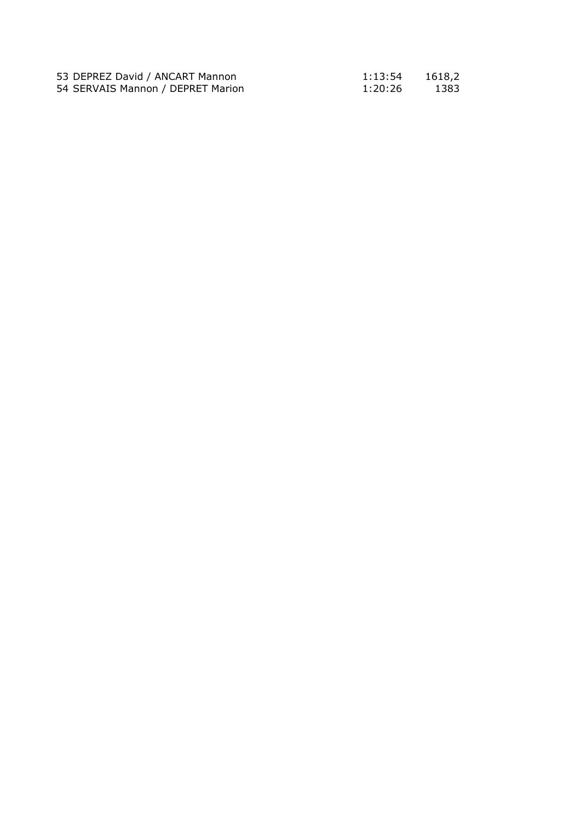| 53 DEPREZ David / ANCART Mannon   | 1:13:54 | 1618,2 |
|-----------------------------------|---------|--------|
| 54 SERVAIS Mannon / DEPRET Marion | 1:20:26 | 1383   |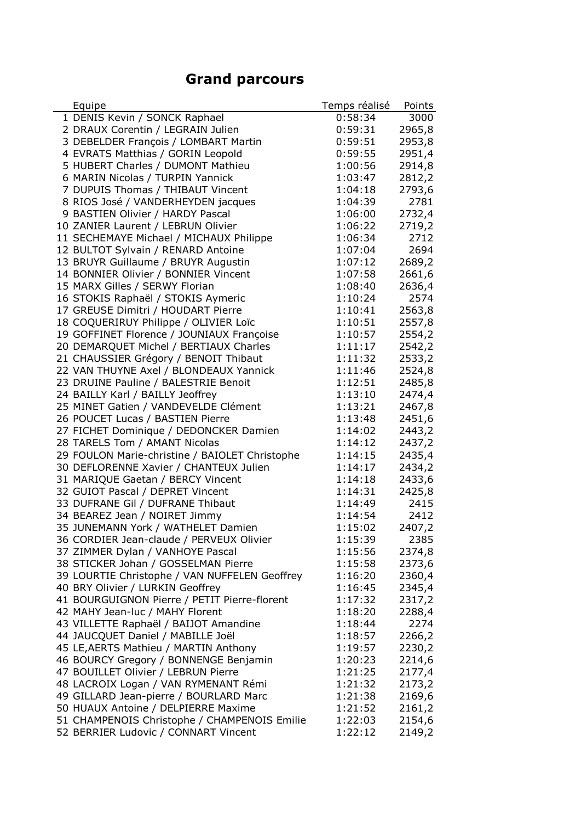## **Grand parcours**

| Equipe                                         | Temps réalisé | Points |
|------------------------------------------------|---------------|--------|
| 1 DENIS Kevin / SONCK Raphael                  | 0:58:34       | 3000   |
| 2 DRAUX Corentin / LEGRAIN Julien              | 0:59:31       | 2965,8 |
| 3 DEBELDER François / LOMBART Martin           | 0:59:51       | 2953,8 |
| 4 EVRATS Matthias / GORIN Leopold              | 0:59:55       | 2951,4 |
| 5 HUBERT Charles / DUMONT Mathieu              | 1:00:56       | 2914,8 |
| 6 MARIN Nicolas / TURPIN Yannick               | 1:03:47       | 2812,2 |
| 7 DUPUIS Thomas / THIBAUT Vincent              | 1:04:18       | 2793,6 |
| 8 RIOS José / VANDERHEYDEN jacques             | 1:04:39       | 2781   |
| 9 BASTIEN Olivier / HARDY Pascal               | 1:06:00       | 2732,4 |
| 10 ZANIER Laurent / LEBRUN Olivier             | 1:06:22       | 2719,2 |
| 11 SECHEMAYE Michael / MICHAUX Philippe        | 1:06:34       | 2712   |
| 12 BULTOT Sylvain / RENARD Antoine             | 1:07:04       | 2694   |
| 13 BRUYR Guillaume / BRUYR Augustin            | 1:07:12       | 2689,2 |
| 14 BONNIER Olivier / BONNIER Vincent           | 1:07:58       | 2661,6 |
| 15 MARX Gilles / SERWY Florian                 | 1:08:40       | 2636,4 |
| 16 STOKIS Raphaël / STOKIS Aymeric             | 1:10:24       | 2574   |
| 17 GREUSE Dimitri / HOUDART Pierre             | 1:10:41       | 2563,8 |
| 18 COQUERIRUY Philippe / OLIVIER Loïc          | 1:10:51       | 2557,8 |
| 19 GOFFINET Florence / JOUNIAUX Françoise      | 1:10:57       | 2554,2 |
| 20 DEMARQUET Michel / BERTIAUX Charles         | 1:11:17       | 2542,2 |
| 21 CHAUSSIER Grégory / BENOIT Thibaut          | 1:11:32       | 2533,2 |
| 22 VAN THUYNE Axel / BLONDEAUX Yannick         | 1:11:46       | 2524,8 |
| 23 DRUINE Pauline / BALESTRIE Benoit           | 1:12:51       | 2485,8 |
| 24 BAILLY Karl / BAILLY Jeoffrey               | 1:13:10       | 2474,4 |
| 25 MINET Gatien / VANDEVELDE Clément           | 1:13:21       | 2467,8 |
| 26 POUCET Lucas / BASTIEN Pierre               | 1:13:48       | 2451,6 |
| 27 FICHET Dominique / DEDONCKER Damien         | 1:14:02       | 2443,2 |
| 28 TARELS Tom / AMANT Nicolas                  | 1:14:12       | 2437,2 |
| 29 FOULON Marie-christine / BAIOLET Christophe | 1:14:15       | 2435,4 |
| 30 DEFLORENNE Xavier / CHANTEUX Julien         | 1:14:17       | 2434,2 |
| 31 MARIQUE Gaetan / BERCY Vincent              | 1:14:18       | 2433,6 |
| 32 GUIOT Pascal / DEPRET Vincent               | 1:14:31       | 2425,8 |
| 33 DUFRANE Gil / DUFRANE Thibaut               | 1:14:49       | 2415   |
| 34 BEAREZ Jean / NOIRET Jimmy                  | 1:14:54       | 2412   |
| 35 JUNEMANN York / WATHELET Damien             | 1:15:02       | 2407,2 |
| 36 CORDIER Jean-claude / PERVEUX Olivier       | 1:15:39       | 2385   |
| 37 ZIMMER Dylan / VANHOYE Pascal               | 1:15:56       | 2374,8 |
| 38 STICKER Johan / GOSSELMAN Pierre            | 1:15:58       | 2373,6 |
| 39 LOURTIE Christophe / VAN NUFFELEN Geoffrey  | 1:16:20       | 2360,4 |
| 40 BRY Olivier / LURKIN Geoffrey               | 1:16:45       | 2345,4 |
| 41 BOURGUIGNON Pierre / PETIT Pierre-florent   | 1:17:32       | 2317,2 |
| 42 MAHY Jean-luc / MAHY Florent                | 1:18:20       | 2288,4 |
| 43 VILLETTE Raphaël / BAIJOT Amandine          | 1:18:44       | 2274   |
| 44 JAUCQUET Daniel / MABILLE Joël              | 1:18:57       | 2266,2 |
| 45 LE, AERTS Mathieu / MARTIN Anthony          | 1:19:57       | 2230,2 |
| 46 BOURCY Gregory / BONNENGE Benjamin          | 1:20:23       | 2214,6 |
| 47 BOUILLET Olivier / LEBRUN Pierre            | 1:21:25       | 2177,4 |
| 48 LACROIX Logan / VAN RYMENANT Rémi           | 1:21:32       | 2173,2 |
| 49 GILLARD Jean-pierre / BOURLARD Marc         | 1:21:38       | 2169,6 |
| 50 HUAUX Antoine / DELPIERRE Maxime            | 1:21:52       | 2161,2 |
| 51 CHAMPENOIS Christophe / CHAMPENOIS Emilie   | 1:22:03       | 2154,6 |
| 52 BERRIER Ludovic / CONNART Vincent           | 1:22:12       | 2149,2 |
|                                                |               |        |